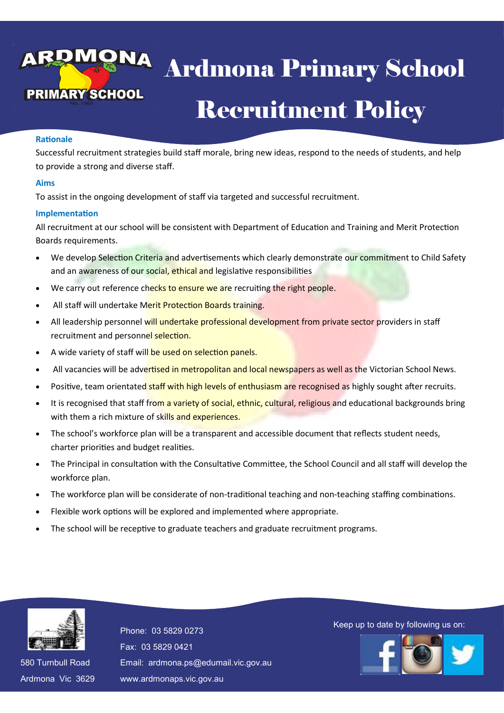# Ardmona Primary School Exposition of the Control of the Control of the Control of the Control of the Control of the Control of the Control of the Control of the Control of the Control of the Control of the Control of the Control of the Control o Ardmona Primary School Recruitment Policy

### **Rationale**

Successful recruitment strategies build staff morale, bring new ideas, respond to the needs of students, and help to provide a strong and diverse staff.

### **Aims**

To assist in the ongoing development of staff via targeted and successful recruitment.

## **Implementation**

All recruitment at our school will be consistent with Department of Education and Training and Merit Protection Boards requirements.

- We develop Selection Criteria and advertisements which clearly demonstrate our commitment to Child Safety and an awareness of our social, ethical and legislative responsibilities
- We carry out reference checks to ensure we are recruiting the right people.
- All staff will undertake Merit Protection Boards training.
- All leadership personnel will undertake professional development from private sector providers in staff recruitment and personnel selection.
- A wide variety of staff will be used on selection panels.
- All vacancies will be advertised in metropolitan and local newspapers as well as the Victorian School News.
- Positive, team orientated staff with high levels of enthusiasm are recognised as highly sought after recruits.
- It is recognised that staff from a variety of social, ethnic, cultural, religious and educational backgrounds bring with them a rich mixture of skills and experiences.
- The school's workforce plan will be a transparent and accessible document that reflects student needs, charter priorities and budget realities.
- The Principal in consultation with the Consultative Committee, the School Council and all staff will develop the workforce plan.
- The workforce plan will be considerate of non-traditional teaching and non-teaching staffing combinations.
- Flexible work options will be explored and implemented where appropriate.
- The school will be receptive to graduate teachers and graduate recruitment programs.



580 Turnbull Road 580 Turnbull Road Ardmona Vic 3629 Ardmona Vic 3629 Fax: 03 5829 0421 Fax: 03 5829 0421 Email: ardmona.ps@edumail.vic.gov.au Email: ardmona.ps@edumail.vic.gov.au www.ardmonaps.vic.gov.au www.ardmonaps.vic.gov.au

Thone: 03 5829 0273<br>Phone: 03 5829 0273